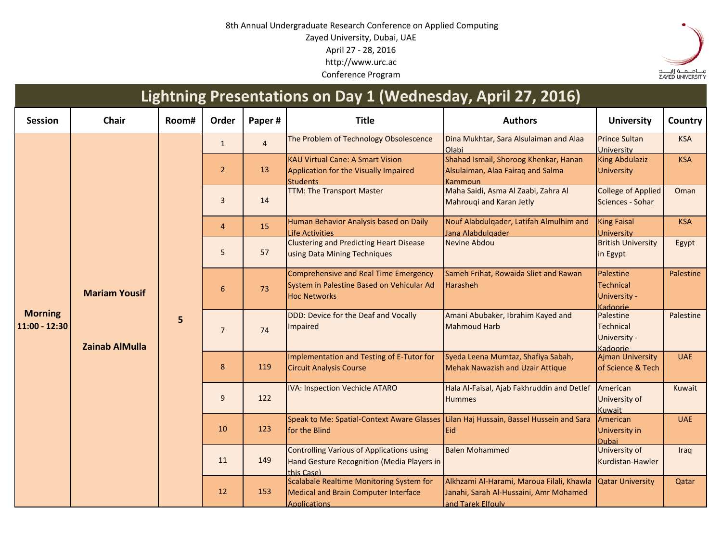## 8th Annual Undergraduate Research Conference on Applied Computing Zayed University, Dubai, UAE April 27 - 28, 2016 http://www.urc.ac Conference Program



## **Session Chair Room# Order Paper # Title Authors University Country** 1 4 The Problem of Technology Obsolescence Dina Mukhtar, Sara Alsulaiman and Alaa Olabi Prince Sultan **University** KSA  $2 \t 13$ KAU Virtual Cane: A Smart Vision Application for the Visually Impaired **Students**<br>TTM: The Transport Master Shahad Ismail, Shoroog Khenkar, Hanan Alsulaiman, Alaa Fairaq and Salma Kammoun King Abdulaziz **University** KSA 3 14 Maha Saidi, Asma Al Zaabi, Zahra Al Mahrouqi and Karan Jetly College of Applied Sciences - Sohar Oman 4 15 Human Behavior Analysis based on Daily Life Activities Nouf Alabdulqader, Latifah Almulhim and **Jana Alabdulgader**<br>Nevine Abdou King Faisal **University KSA** 57 Clustering and Predicting Heart Disease using Data Mining Techniques **British University** in Egypt Egypt 6 73 Comprehensive and Real Time Emergency System in Palestine Based on Vehicular Ad Hoc Networks Sameh Frihat, Rowaida Sliet and Rawan Harasheh Palestine **Technical** University - Kadoorie Palestine 7 74 DDD: Device for the Deaf and Vocally Impaired Amani Abubaker, Ibrahim Kayed and Mahmoud Harb Palestine **Technical** University - Kadoorie Palestine 8 119 Implementation and Testing of E-Tutor for Circuit Analysis Course Syeda Leena Mumtaz, Shafiya Sabah, Mehak Nawazish and Uzair Attique Ajman University of Science & Tech UAE 9 122 IVA: Inspection Vechicle ATARO Hala Al-Faisal, Ajab Fakhruddin and Detlef **Hummes American** University of Kuwait Kuwait 10 123 Speak to Me: Spatial-Context Aware Glasses for the Blind Lilan Haj Hussain, Bassel Hussein and Sara Eid **American** University in Dubai<br>University of UAE 11 149 Controlling Various of Applications using Hand Gesture Recognition (Media Players in this Case) Balen Mohammed Kurdistan-Hawler Iraq 12 153 Scalabale Realtime Monitoring System for Medical and Brain Computer Interface Applications Alkhzami Al-Harami, Maroua Filali, Khawla Janahi, Sarah Al-Hussaini, Amr Mohamed and Tarek Elfouly Qatar University | Qatar **Lightning Presentations on Day 1 (Wednesday, April 27, 2016) Morning 11:00 - 12:30 Mariam Yousif Zainab AlMulla 5**